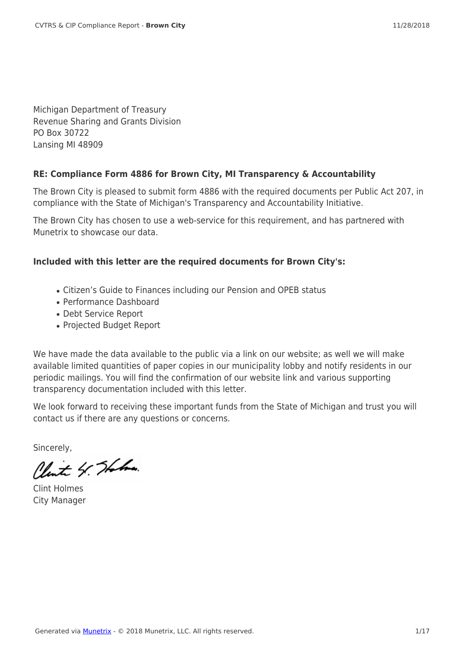Michigan Department of Treasury Revenue Sharing and Grants Division PO Box 30722 Lansing MI 48909

## **RE: Compliance Form 4886 for Brown City, MI Transparency & Accountability**

The Brown City is pleased to submit form 4886 with the required documents per Public Act 207, in compliance with the State of Michigan's Transparency and Accountability Initiative.

The Brown City has chosen to use a web-service for this requirement, and has partnered with Munetrix to showcase our data.

## **Included with this letter are the required documents for Brown City's:**

- Citizen's Guide to Finances including our Pension and OPEB status
- Performance Dashboard
- Debt Service Report
- Projected Budget Report

We have made the data available to the public via a link on our website; as well we will make available limited quantities of paper copies in our municipality lobby and notify residents in our periodic mailings. You will find the confirmation of our website link and various supporting transparency documentation included with this letter.

We look forward to receiving these important funds from the State of Michigan and trust you will contact us if there are any questions or concerns.

Sincerely,

Clint 4. Stales

Clint Holmes City Manager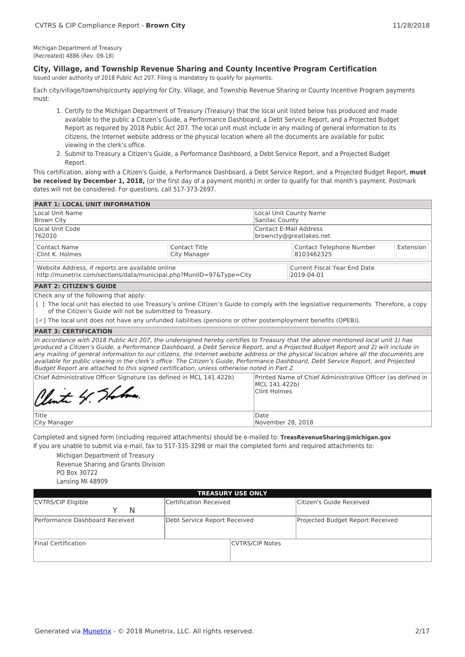Michigan Department of Treasury (Recreated) 4886 (Rev. 09-18)

#### **City, Village, and Township Revenue Sharing and County Incentive Program Certification**

Issued under authority of 2018 Public Act 207. Filing is mandatory to qualify for payments.

Each city/village/township/county applying for City, Village, and Township Revenue Sharing or County Incentive Program payments must:

- 1. Certify to the Michigan Department of Treasury (Treasury) that the local unit listed below has produced and made available to the public a Citizen's Guide, a Performance Dashboard, a Debt Service Report, and a Projected Budget Report as required by 2018 Public Act 207. The local unit must include in any mailing of general information to its citizens, the Internet website address or the physical location where all the documents are available for pubic viewing in the clerk's office.
- 2. Submit to Treasury a Citizen's Guide, a Performance Dashboard, a Debt Service Report, and a Projected Budget Report.

This certification, along with a Citizen's Guide, a Performance Dashboard, a Debt Service Report, and a Projected Budget Report, **must be received by December 1, 2018,** (or the first day of a payment month) in order to qualify for that month's payment. Postmark dates will not be considered. For questions, call 517-373-2697.

| <b>PART 1: LOCAL UNIT INFORMATION</b>                                                                                                                                                                                                                                                                                                                                                                                                                                                                                                                                                                                                            |                               |                               |                                                   |           |  |  |
|--------------------------------------------------------------------------------------------------------------------------------------------------------------------------------------------------------------------------------------------------------------------------------------------------------------------------------------------------------------------------------------------------------------------------------------------------------------------------------------------------------------------------------------------------------------------------------------------------------------------------------------------------|-------------------------------|-------------------------------|---------------------------------------------------|-----------|--|--|
| Local Unit Name<br>Brown City                                                                                                                                                                                                                                                                                                                                                                                                                                                                                                                                                                                                                    |                               |                               | Local Unit County Name<br>Sanilac County          |           |  |  |
| Local Unit Code                                                                                                                                                                                                                                                                                                                                                                                                                                                                                                                                                                                                                                  |                               | <b>Contact E-Mail Address</b> |                                                   |           |  |  |
| 762010                                                                                                                                                                                                                                                                                                                                                                                                                                                                                                                                                                                                                                           |                               |                               | browncty@greatlakes.net                           |           |  |  |
| Contact Name<br>Clint K. Holmes                                                                                                                                                                                                                                                                                                                                                                                                                                                                                                                                                                                                                  | Contact Title<br>City Manager |                               | Contact Telephone Number<br>8103462325            | Extension |  |  |
| Website Address, if reports are available online<br>http://munetrix.com/sections/data/municipal.php?MunilD=97&Type=City                                                                                                                                                                                                                                                                                                                                                                                                                                                                                                                          |                               |                               | <b>Current Fiscal Year End Date</b><br>2019-04-01 |           |  |  |
| <b>PART 2: CITIZEN'S GUIDE</b>                                                                                                                                                                                                                                                                                                                                                                                                                                                                                                                                                                                                                   |                               |                               |                                                   |           |  |  |
| Check any of the following that apply:                                                                                                                                                                                                                                                                                                                                                                                                                                                                                                                                                                                                           |                               |                               |                                                   |           |  |  |
| [ ] The local unit has elected to use Treasury's online Citizen's Guide to comply with the legislative requirements. Therefore, a copy<br>of the Citizen's Guide will not be submitted to Treasury.                                                                                                                                                                                                                                                                                                                                                                                                                                              |                               |                               |                                                   |           |  |  |
| [v] The local unit does not have any unfunded liabilities (pensions or other postemployment benefits (OPEB)).                                                                                                                                                                                                                                                                                                                                                                                                                                                                                                                                    |                               |                               |                                                   |           |  |  |
| <b>PART 3: CERTIFICATION</b>                                                                                                                                                                                                                                                                                                                                                                                                                                                                                                                                                                                                                     |                               |                               |                                                   |           |  |  |
| In accordance with 2018 Public Act 207, the undersigned hereby certifies to Treasury that the above mentioned local unit 1) has<br>produced a Citizen's Guide, a Performance Dashboard, a Debt Service Report, and a Projected Budget Report and 2) will include in<br>any mailing of general information to our citizens, the Internet website address or the physical location where all the documents are<br>available for public viewing in the clerk's office. The Citizen's Guide, Performance Dashboard, Debt Service Report, and Projected<br>Budget Report are attached to this signed certification, unless otherwise noted in Part 2. |                               |                               |                                                   |           |  |  |
| Chief Administrative Officer Signature (as defined in MCL 141.422b)<br>Printed Name of Chief Administrative Officer (as defined in<br>MCL 141.422b)<br>Clint 4. Thomas<br><b>Clint Holmes</b>                                                                                                                                                                                                                                                                                                                                                                                                                                                    |                               |                               |                                                   |           |  |  |
| <b>Title</b><br>City Manager                                                                                                                                                                                                                                                                                                                                                                                                                                                                                                                                                                                                                     | Date<br>November 28, 2018     |                               |                                                   |           |  |  |
| Completed and signed form (including required attachments) should be e-mailed to: TreasRevenueSharing@michigan.gov<br>If you are unable to submit via e-mail, fax to 517-335-3298 or mail the completed form and required attachments to:                                                                                                                                                                                                                                                                                                                                                                                                        |                               |                               |                                                   |           |  |  |

Michigan Department of Treasury Revenue Sharing and Grants Division PO Box 30722 Lansing MI 48909

| <b>TREASURY USE ONLY</b>       |                              |                        |                                  |  |  |  |
|--------------------------------|------------------------------|------------------------|----------------------------------|--|--|--|
| CVTRS/CIP Eligible             | Certification Received       |                        | Citizen's Guide Received         |  |  |  |
| N                              |                              |                        |                                  |  |  |  |
| Performance Dashboard Received | Debt Service Report Received |                        | Projected Budget Report Received |  |  |  |
| <b>Final Certification</b>     |                              | <b>CVTRS/CIP Notes</b> |                                  |  |  |  |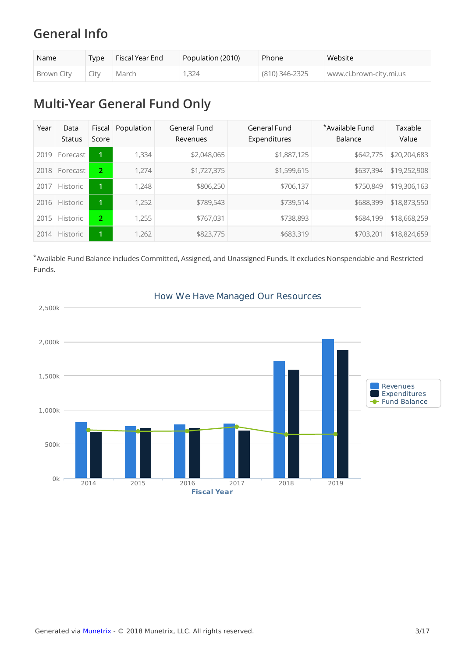# **General Info**

| Name       | Type | Fiscal Year End | Population (2010) | Phone          | Website                 |
|------------|------|-----------------|-------------------|----------------|-------------------------|
| Brown City | City | March           | 1,324             | (810) 346-2325 | www.ci.brown-city.mi.us |

# **Multi-Year General Fund Only**

| Year | Data<br>Status  | Fiscal<br>Score | Population | General Fund<br>Revenues | General Fund<br>Expenditures | *Available Fund<br>Balance | Taxable<br>Value |
|------|-----------------|-----------------|------------|--------------------------|------------------------------|----------------------------|------------------|
| 2019 | Forecast        | $\mathbf{1}$    | 1,334      | \$2,048,065              | \$1,887,125                  | \$642,775                  | \$20,204,683     |
| 2018 | Forecast        | 2               | 1.274      | \$1,727,375              | \$1,599,615                  | \$637,394                  | \$19,252,908     |
| 2017 | Historic        | 1               | 1,248      | \$806,250                | \$706.137                    | \$750,849                  | \$19,306,163     |
| 2016 | <b>Historic</b> | 1.              | 1,252      | \$789,543                | \$739,514                    | \$688,399                  | \$18,873,550     |
| 2015 | Historic        | 2               | 1,255      | \$767,031                | \$738,893                    | \$684,199                  | \$18,668,259     |
| 2014 | Historic        | 1               | 1,262      | \$823,775                | \$683,319                    | \$703,201                  | \$18,824,659     |

\*Available Fund Balance includes Committed, Assigned, and Unassigned Funds. It excludes Nonspendable and Restricted Funds.



# How We Have Managed Our Resources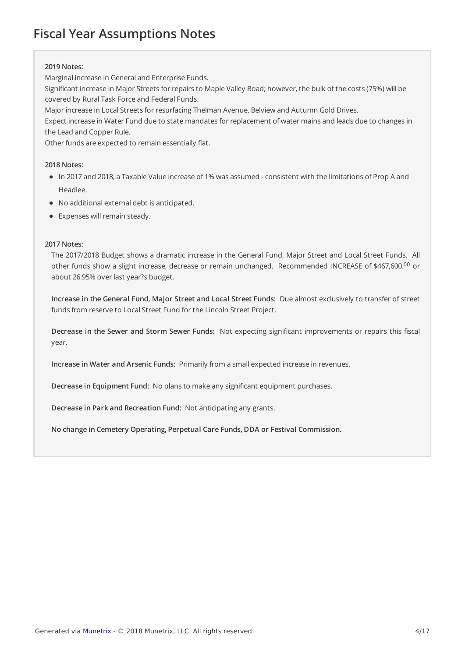# **Fiscal Year Assumptions Notes**

### **2019 Notes:**

Marginal increase in General and Enterprise Funds.

Significant increase in Major Streets for repairs to Maple Valley Road; however, the bulk of the costs (75%) will be covered by Rural Task Force and Federal Funds.

Major increase in Local Streets for resurfacing Thelman Avenue, Belview and Autumn Gold Drives.

Expect increase in Water Fund due to state mandates for replacement of water mains and leads due to changes in the Lead and Copper Rule.

Other funds are expected to remain essentially flat.

#### **2018 Notes:**

- In 2017 and 2018, a Taxable Value increase of 1% was assumed consistent with the limitations of Prop A and Headlee.
- No additional external debt is anticipated.
- Expenses will remain steady.

#### **2017 Notes:**

The 2017/2018 Budget shows a dramatic increase in the General Fund, Major Street and Local Street Funds. All other funds show a slight increase, decrease or remain unchanged. Recommended INCREASE of \$467,600.<sup>00</sup> or about 26.95% over last year?s budget.

**Increase in the General Fund, Major Street and Local Street Funds:** Due almost exclusively to transfer of street funds from reserve to Local Street Fund for the Lincoln Street Project.

**Decrease in the Sewer and Storm Sewer Funds:** Not expecting significant improvements or repairs this fiscal year.

**Increase in Water and Arsenic Funds:** Primarily from a small expected increase in revenues.

**Decrease in Equipment Fund:** No plans to make any significant equipment purchases.

**Decrease in Park and Recreation Fund:** Not anticipating any grants.

**No change in Cemetery Operating, Perpetual Care Funds, DDA or Festival Commission.**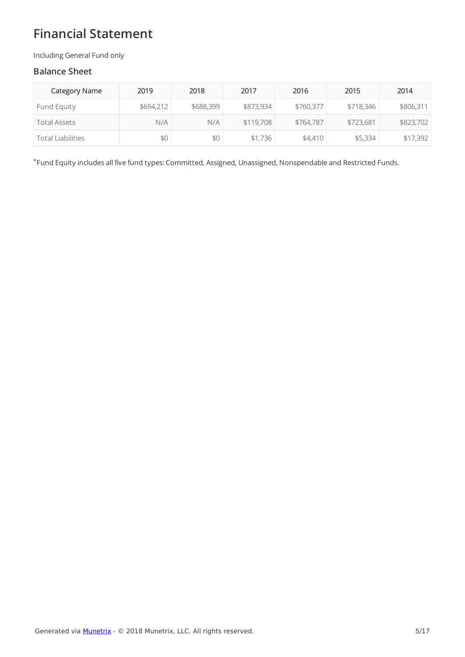# **Financial Statement**

Including General Fund only

# **Balance Sheet**

| <b>Category Name</b> | 2019      | 2018      | 2017      | 2016      | 2015      | 2014      |
|----------------------|-----------|-----------|-----------|-----------|-----------|-----------|
| <b>Fund Equity</b>   | \$694,212 | \$688,399 | \$873,934 | \$760,377 | \$718,346 | \$806,311 |
| <b>Total Assets</b>  | N/A       | N/A       | \$119,708 | \$764,787 | \$723,681 | \$823,702 |
| Total Liabilities    | \$0       | \$0       | \$1,736   | \$4,410   | \$5,334   | \$17,392  |

Fund Equity includes all five fund types: Committed, Assigned, Unassigned, Nonspendable and Restricted Funds. \*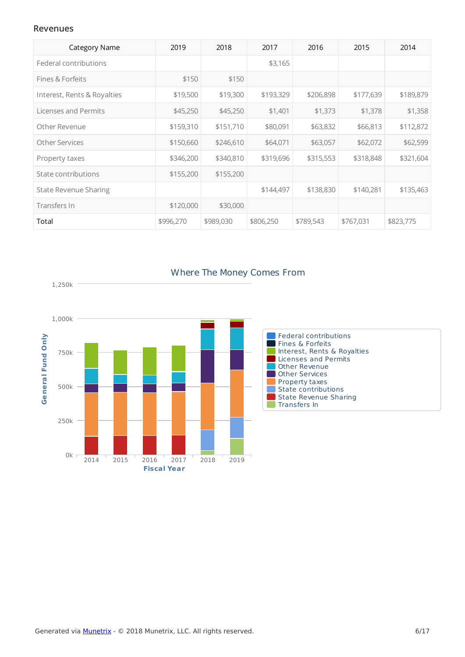## **Revenues**

| Category Name                | 2019      | 2018      | 2017      | 2016      | 2015      | 2014      |
|------------------------------|-----------|-----------|-----------|-----------|-----------|-----------|
| Federal contributions        |           |           | \$3,165   |           |           |           |
| Fines & Forfeits             | \$150     | \$150     |           |           |           |           |
| Interest, Rents & Royalties  | \$19,500  | \$19,300  | \$193,329 | \$206,898 | \$177,639 | \$189,879 |
| Licenses and Permits         | \$45,250  | \$45,250  | \$1,401   | \$1,373   | \$1,378   | \$1,358   |
| Other Revenue                | \$159,310 | \$151,710 | \$80,091  | \$63,832  | \$66,813  | \$112,872 |
| Other Services               | \$150,660 | \$246,610 | \$64,071  | \$63,057  | \$62,072  | \$62,599  |
| Property taxes               | \$346,200 | \$340,810 | \$319,696 | \$315,553 | \$318,848 | \$321,604 |
| State contributions          | \$155,200 | \$155,200 |           |           |           |           |
| <b>State Revenue Sharing</b> |           |           | \$144,497 | \$138,830 | \$140,281 | \$135,463 |
| Transfers In                 | \$120,000 | \$30,000  |           |           |           |           |
| Total                        | \$996,270 | \$989,030 | \$806,250 | \$789,543 | \$767,031 | \$823,775 |



Where The Money Comes From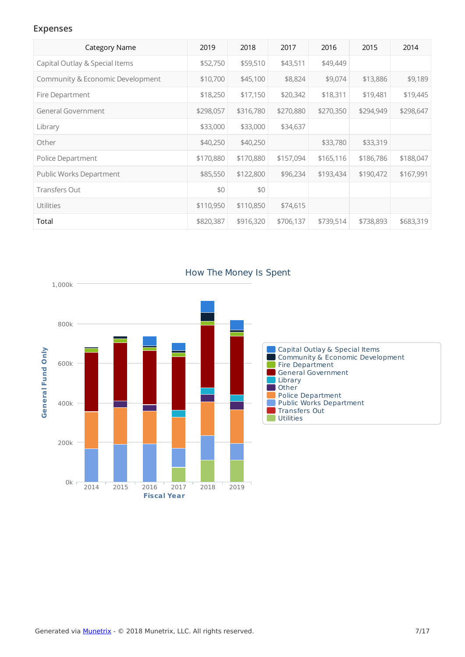## **Expenses**

| Category Name                    | 2019      | 2018      | 2017      | 2016      | 2015      | 2014      |
|----------------------------------|-----------|-----------|-----------|-----------|-----------|-----------|
| Capital Outlay & Special Items   | \$52,750  | \$59,510  | \$43,511  | \$49,449  |           |           |
| Community & Economic Development | \$10,700  | \$45,100  | \$8,824   | \$9,074   | \$13,886  | \$9,189   |
| Fire Department                  | \$18,250  | \$17,150  | \$20,342  | \$18,311  | \$19,481  | \$19,445  |
| <b>General Government</b>        | \$298,057 | \$316,780 | \$270,880 | \$270,350 | \$294,949 | \$298,647 |
| Library                          | \$33,000  | \$33,000  | \$34,637  |           |           |           |
| Other                            | \$40,250  | \$40,250  |           | \$33,780  | \$33,319  |           |
| Police Department                | \$170,880 | \$170,880 | \$157,094 | \$165,116 | \$186,786 | \$188,047 |
| Public Works Department          | \$85,550  | \$122,800 | \$96,234  | \$193,434 | \$190,472 | \$167,991 |
| <b>Transfers Out</b>             | \$0       | \$0       |           |           |           |           |
| <b>Utilities</b>                 | \$110,950 | \$110,850 | \$74,615  |           |           |           |
| Total                            | \$820,387 | \$916,320 | \$706,137 | \$739,514 | \$738,893 | \$683,319 |



# How The Money Is Spent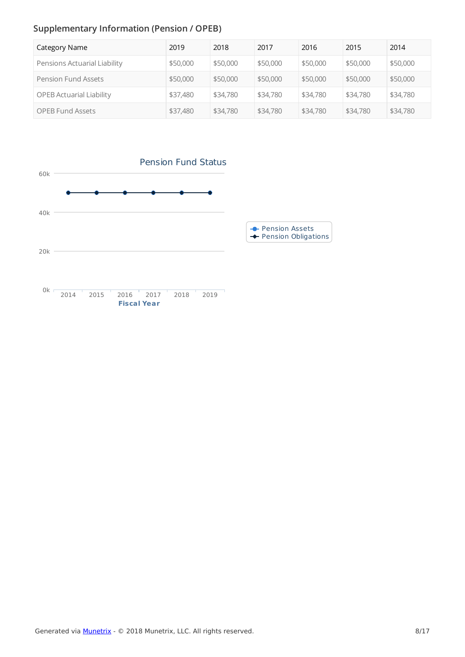# **Supplementary Information (Pension / OPEB)**

| Category Name                   | 2019     | 2018     | 2017     | 2016     | 2015     | 2014     |
|---------------------------------|----------|----------|----------|----------|----------|----------|
| Pensions Actuarial Liability    | \$50,000 | \$50,000 | \$50,000 | \$50,000 | \$50,000 | \$50,000 |
| Pension Fund Assets             | \$50,000 | \$50,000 | \$50,000 | \$50,000 | \$50,000 | \$50,000 |
| <b>OPEB Actuarial Liability</b> | \$37,480 | \$34,780 | \$34,780 | \$34,780 | \$34,780 | \$34,780 |
| <b>OPEB Fund Assets</b>         | \$37,480 | \$34,780 | \$34,780 | \$34,780 | \$34,780 | \$34,780 |

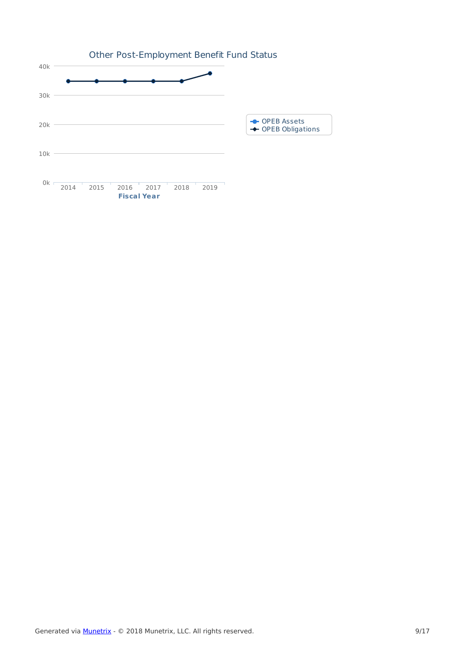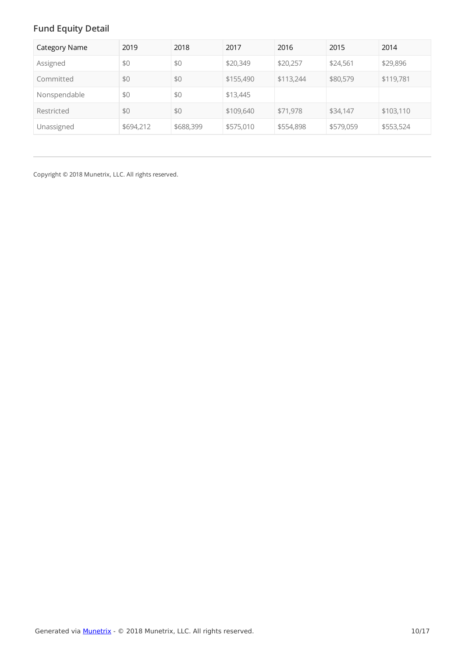# **Fund Equity Detail**

| Category Name | 2019      | 2018      | 2017      | 2016      | 2015      | 2014      |
|---------------|-----------|-----------|-----------|-----------|-----------|-----------|
| Assigned      | \$0       | \$0       | \$20,349  | \$20,257  | \$24,561  | \$29,896  |
| Committed     | \$0       | \$0       | \$155,490 | \$113,244 | \$80,579  | \$119,781 |
| Nonspendable  | \$0       | \$0       | \$13,445  |           |           |           |
| Restricted    | \$0       | \$0       | \$109,640 | \$71,978  | \$34,147  | \$103,110 |
| Unassigned    | \$694,212 | \$688,399 | \$575,010 | \$554,898 | \$579,059 | \$553,524 |

Copyright © 2018 Munetrix, LLC. All rights reserved.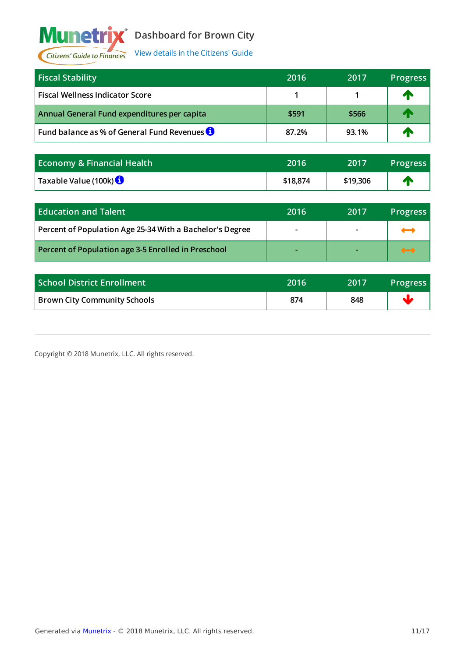

View details in the Citizens' Guide

| <b>Fiscal Stability</b>                     | 2016  | 2017  | <b>Progress</b>  |
|---------------------------------------------|-------|-------|------------------|
| <b>Fiscal Wellness Indicator Score</b>      |       |       | $\blacktriangle$ |
| Annual General Fund expenditures per capita | \$591 | \$566 | $\blacktriangle$ |
| Fund balance as % of General Fund Revenues  | 87.2% | 93.1% | 个                |

| <b>Economy &amp; Financial Health</b> | 2016     | 2017     | <b>Progress</b> |
|---------------------------------------|----------|----------|-----------------|
| Taxable Value (100k) <b>O</b>         | \$18,874 | \$19,306 |                 |

| <b>Education and Talent</b>                              | 2016           | 2017   | <b>Progress</b> |
|----------------------------------------------------------|----------------|--------|-----------------|
| Percent of Population Age 25-34 With a Bachelor's Degree | $\blacksquare$ | $\sim$ |                 |
| Percent of Population age 3-5 Enrolled in Preschool      |                |        |                 |

| <b>School District Enrollment</b>   | 2016 | 2017 | <b>Progress</b> |
|-------------------------------------|------|------|-----------------|
| <b>Brown City Community Schools</b> | 874  | 848  |                 |

Copyright © 2018 Munetrix, LLC. All rights reserved.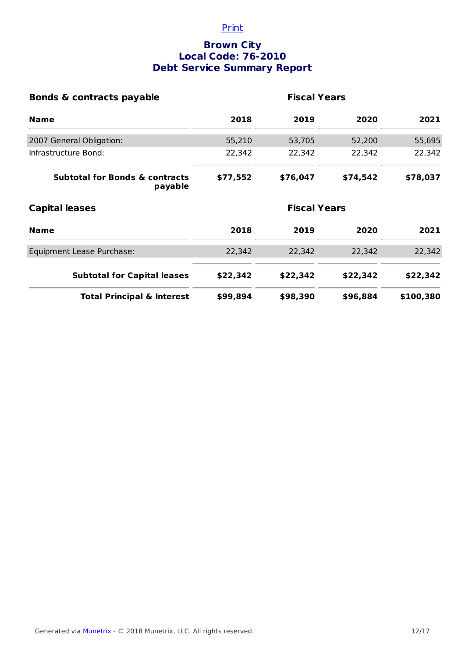# **Print**

# **Brown City Local Code: 76-2010 Debt Service Summary Report**

| <b>Bonds &amp; contracts payable</b>                 | <b>Fiscal Years</b> |                     |          |          |  |  |
|------------------------------------------------------|---------------------|---------------------|----------|----------|--|--|
| <b>Name</b>                                          | 2018                | 2019                | 2020     | 2021     |  |  |
| 2007 General Obligation:                             | 55,210              | 53,705              | 52,200   | 55,695   |  |  |
| Infrastructure Bond:                                 | 22,342              | 22,342              | 22,342   | 22,342   |  |  |
| <b>Subtotal for Bonds &amp; contracts</b><br>payable | \$77,552            | \$76,047            | \$74,542 | \$78,037 |  |  |
| <b>Capital leases</b>                                |                     | <b>Fiscal Years</b> |          |          |  |  |
| <b>Name</b>                                          | 2018                | 2019                | 2020     | 2021     |  |  |
| Equipment Lease Purchase:                            | 22,342              | 22,342              | 22,342   | 22,342   |  |  |
| <b>Subtotal for Capital leases</b>                   | \$22,342            | \$22,342            | \$22,342 | \$22,342 |  |  |
|                                                      |                     |                     |          |          |  |  |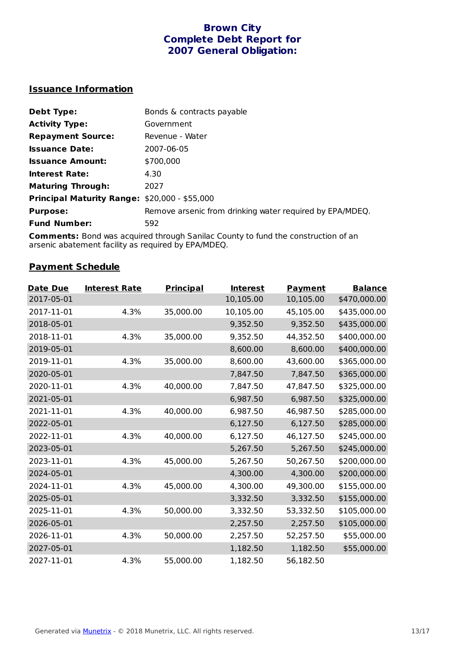# **Brown City Complete Debt Report for 2007 General Obligation:**

# **Issuance Information**

| <b>Debt Type:</b>                             | Bonds & contracts payable                                |  |  |  |
|-----------------------------------------------|----------------------------------------------------------|--|--|--|
| <b>Activity Type:</b>                         | Government                                               |  |  |  |
| <b>Repayment Source:</b>                      | Revenue - Water                                          |  |  |  |
| <b>Issuance Date:</b>                         | 2007-06-05                                               |  |  |  |
| <b>Issuance Amount:</b>                       | \$700,000                                                |  |  |  |
| <b>Interest Rate:</b>                         | 4.30                                                     |  |  |  |
| <b>Maturing Through:</b>                      | 2027                                                     |  |  |  |
| Principal Maturity Range: \$20,000 - \$55,000 |                                                          |  |  |  |
| <b>Purpose:</b>                               | Remove arsenic from drinking water required by EPA/MDEQ. |  |  |  |
| <b>Fund Number:</b>                           | 592                                                      |  |  |  |
|                                               |                                                          |  |  |  |

**Comments:** Bond was acquired through Sanilac County to fund the construction of an arsenic abatement facility as required by EPA/MDEQ.

# **Payment Schedule**

| <b>Date Due</b> | <b>Interest Rate</b> | <b>Principal</b> | <b>Interest</b> | Payment   | <b>Balance</b> |
|-----------------|----------------------|------------------|-----------------|-----------|----------------|
| 2017-05-01      |                      |                  | 10,105.00       | 10,105.00 | \$470,000.00   |
| 2017-11-01      | 4.3%                 | 35,000.00        | 10,105.00       | 45,105.00 | \$435,000.00   |
| 2018-05-01      |                      |                  | 9,352.50        | 9,352.50  | \$435,000.00   |
| 2018-11-01      | 4.3%                 | 35,000.00        | 9,352.50        | 44,352.50 | \$400,000.00   |
| 2019-05-01      |                      |                  | 8,600.00        | 8,600.00  | \$400,000.00   |
| 2019-11-01      | 4.3%                 | 35,000.00        | 8,600.00        | 43,600.00 | \$365,000.00   |
| 2020-05-01      |                      |                  | 7,847.50        | 7,847.50  | \$365,000.00   |
| 2020-11-01      | 4.3%                 | 40,000.00        | 7,847.50        | 47,847.50 | \$325,000.00   |
| 2021-05-01      |                      |                  | 6,987.50        | 6,987.50  | \$325,000.00   |
| 2021-11-01      | 4.3%                 | 40,000.00        | 6,987.50        | 46,987.50 | \$285,000.00   |
| 2022-05-01      |                      |                  | 6,127.50        | 6,127.50  | \$285,000.00   |
| 2022-11-01      | 4.3%                 | 40,000.00        | 6,127.50        | 46,127.50 | \$245,000.00   |
| 2023-05-01      |                      |                  | 5,267.50        | 5,267.50  | \$245,000.00   |
| 2023-11-01      | 4.3%                 | 45,000.00        | 5,267.50        | 50,267.50 | \$200,000.00   |
| 2024-05-01      |                      |                  | 4,300.00        | 4,300.00  | \$200,000.00   |
| 2024-11-01      | 4.3%                 | 45,000.00        | 4,300.00        | 49,300.00 | \$155,000.00   |
| 2025-05-01      |                      |                  | 3,332.50        | 3,332.50  | \$155,000.00   |
| 2025-11-01      | 4.3%                 | 50,000.00        | 3,332.50        | 53,332.50 | \$105,000.00   |
| 2026-05-01      |                      |                  | 2,257.50        | 2,257.50  | \$105,000.00   |
| 2026-11-01      | 4.3%                 | 50,000.00        | 2,257.50        | 52,257.50 | \$55,000.00    |
| 2027-05-01      |                      |                  | 1,182.50        | 1,182.50  | \$55,000.00    |
| 2027-11-01      | 4.3%                 | 55,000.00        | 1,182.50        | 56,182.50 |                |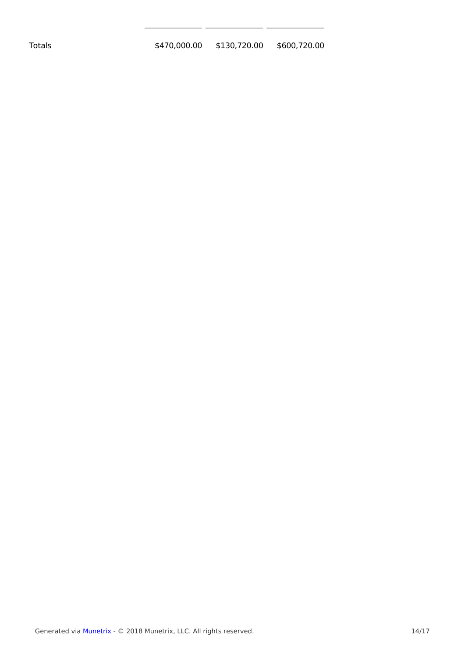# Totals \$470,000.00 \$130,720.00 \$600,720.00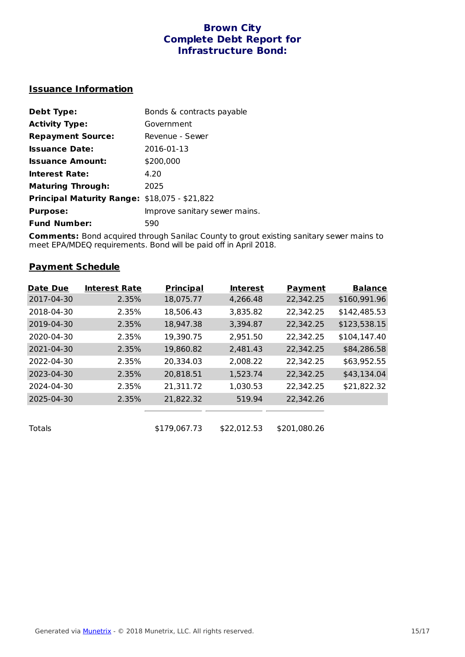# **Brown City Complete Debt Report for Infrastructure Bond:**

# **Issuance Information**

| Debt Type:                                    | Bonds & contracts payable     |
|-----------------------------------------------|-------------------------------|
| <b>Activity Type:</b>                         | Government                    |
| <b>Repayment Source:</b>                      | Revenue - Sewer               |
| <b>Issuance Date:</b>                         | 2016-01-13                    |
| <b>Issuance Amount:</b>                       | \$200,000                     |
| <b>Interest Rate:</b>                         | 4.20                          |
| <b>Maturing Through:</b>                      | 2025                          |
| Principal Maturity Range: \$18,075 - \$21,822 |                               |
| <b>Purpose:</b>                               | Improve sanitary sewer mains. |
| <b>Fund Number:</b>                           | 590                           |

**Comments:** Bond acquired through Sanilac County to grout existing sanitary sewer mains to meet EPA/MDEQ requirements. Bond will be paid off in April 2018.

# **Payment Schedule**

| Date Due      | <b>Interest Rate</b> | <b>Principal</b> | <b>Interest</b> | <b>Payment</b> | <b>Balance</b> |
|---------------|----------------------|------------------|-----------------|----------------|----------------|
| 2017-04-30    | 2.35%                | 18,075.77        | 4,266.48        | 22,342.25      | \$160,991.96   |
| 2018-04-30    | 2.35%                | 18,506.43        | 3,835.82        | 22,342.25      | \$142,485.53   |
| 2019-04-30    | 2.35%                | 18,947.38        | 3,394.87        | 22,342.25      | \$123,538.15   |
| 2020-04-30    | 2.35%                | 19,390.75        | 2,951.50        | 22,342.25      | \$104,147.40   |
| 2021-04-30    | 2.35%                | 19,860.82        | 2,481.43        | 22,342.25      | \$84,286.58    |
| 2022-04-30    | 2.35%                | 20,334.03        | 2,008.22        | 22,342.25      | \$63,952.55    |
| 2023-04-30    | 2.35%                | 20,818.51        | 1,523.74        | 22,342.25      | \$43,134.04    |
| 2024-04-30    | 2.35%                | 21,311.72        | 1,030.53        | 22,342.25      | \$21,822.32    |
| 2025-04-30    | 2.35%                | 21,822.32        | 519.94          | 22,342.26      |                |
|               |                      |                  |                 |                |                |
| <b>Totals</b> |                      | \$179,067.73     | \$22,012.53     | \$201,080.26   |                |